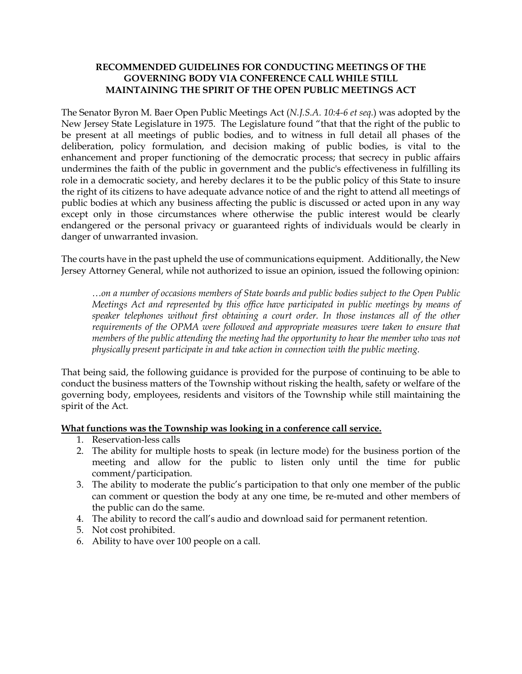## **RECOMMENDED GUIDELINES FOR CONDUCTING MEETINGS OF THE GOVERNING BODY VIA CONFERENCE CALL WHILE STILL MAINTAINING THE SPIRIT OF THE OPEN PUBLIC MEETINGS ACT**

The Senator Byron M. Baer Open Public Meetings Act (*N.J.S.A. 10:4-6 et seq.*) was adopted by the New Jersey State Legislature in 1975. The Legislature found "that that the right of the public to be present at all meetings of public bodies, and to witness in full detail all phases of the deliberation, policy formulation, and decision making of public bodies, is vital to the enhancement and proper functioning of the democratic process; that secrecy in public affairs undermines the faith of the public in government and the public's effectiveness in fulfilling its role in a democratic society, and hereby declares it to be the public policy of this State to insure the right of its citizens to have adequate advance notice of and the right to attend all meetings of public bodies at which any business affecting the public is discussed or acted upon in any way except only in those circumstances where otherwise the public interest would be clearly endangered or the personal privacy or guaranteed rights of individuals would be clearly in danger of unwarranted invasion.

The courts have in the past upheld the use of communications equipment. Additionally, the New Jersey Attorney General, while not authorized to issue an opinion, issued the following opinion:

*…on a number of occasions members of State boards and public bodies subject to the Open Public Meetings Act and represented by this office have participated in public meetings by means of speaker telephones without first obtaining a court order. In those instances all of the other requirements of the OPMA were followed and appropriate measures were taken to ensure that members of the public attending the meeting had the opportunity to hear the member who was not physically present participate in and take action in connection with the public meeting.*

That being said, the following guidance is provided for the purpose of continuing to be able to conduct the business matters of the Township without risking the health, safety or welfare of the governing body, employees, residents and visitors of the Township while still maintaining the spirit of the Act.

## **What functions was the Township was looking in a conference call service.**

- 1. Reservation-less calls
- 2. The ability for multiple hosts to speak (in lecture mode) for the business portion of the meeting and allow for the public to listen only until the time for public comment/participation.
- 3. The ability to moderate the public's participation to that only one member of the public can comment or question the body at any one time, be re-muted and other members of the public can do the same.
- 4. The ability to record the call's audio and download said for permanent retention.
- 5. Not cost prohibited.
- 6. Ability to have over 100 people on a call.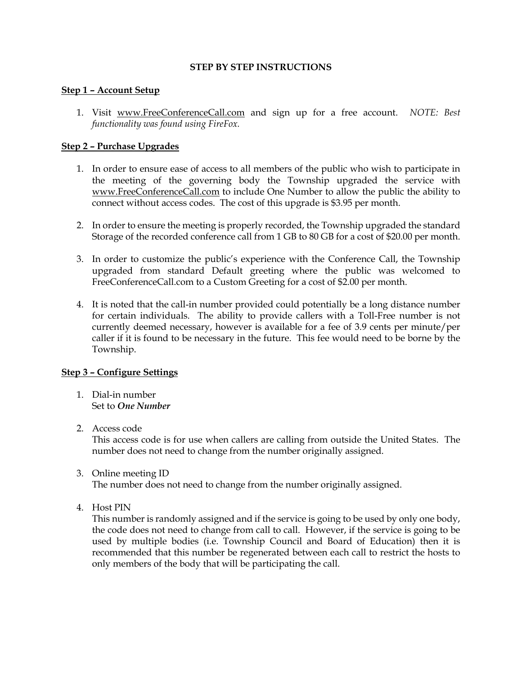#### **STEP BY STEP INSTRUCTIONS**

### **Step 1 – Account Setup**

1. Visit www.FreeConferenceCall.com and sign up for a free account. *NOTE: Best functionality was found using FireFox.* 

### **Step 2 – Purchase Upgrades**

- 1. In order to ensure ease of access to all members of the public who wish to participate in the meeting of the governing body the Township upgraded the service with www.FreeConferenceCall.com to include One Number to allow the public the ability to connect without access codes. The cost of this upgrade is \$3.95 per month.
- 2. In order to ensure the meeting is properly recorded, the Township upgraded the standard Storage of the recorded conference call from 1 GB to 80 GB for a cost of \$20.00 per month.
- 3. In order to customize the public's experience with the Conference Call, the Township upgraded from standard Default greeting where the public was welcomed to FreeConferenceCall.com to a Custom Greeting for a cost of \$2.00 per month.
- 4. It is noted that the call-in number provided could potentially be a long distance number for certain individuals. The ability to provide callers with a Toll-Free number is not currently deemed necessary, however is available for a fee of 3.9 cents per minute/per caller if it is found to be necessary in the future. This fee would need to be borne by the Township.

#### **Step 3 – Configure Settings**

- 1. Dial-in number Set to *One Number*
- 2. Access code

This access code is for use when callers are calling from outside the United States. The number does not need to change from the number originally assigned.

3. Online meeting ID

The number does not need to change from the number originally assigned.

4. Host PIN

This number is randomly assigned and if the service is going to be used by only one body, the code does not need to change from call to call. However, if the service is going to be used by multiple bodies (i.e. Township Council and Board of Education) then it is recommended that this number be regenerated between each call to restrict the hosts to only members of the body that will be participating the call.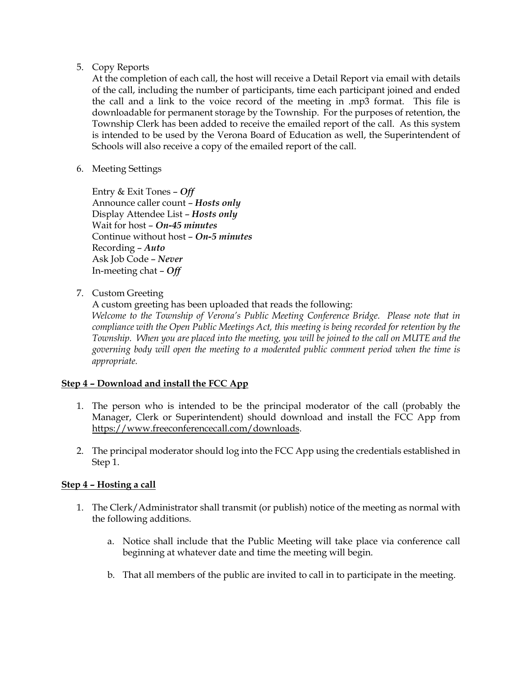## 5. Copy Reports

At the completion of each call, the host will receive a Detail Report via email with details of the call, including the number of participants, time each participant joined and ended the call and a link to the voice record of the meeting in .mp3 format. This file is downloadable for permanent storage by the Township. For the purposes of retention, the Township Clerk has been added to receive the emailed report of the call. As this system is intended to be used by the Verona Board of Education as well, the Superintendent of Schools will also receive a copy of the emailed report of the call.

6. Meeting Settings

Entry & Exit Tones – *Off* Announce caller count – *Hosts only* Display Attendee List – *Hosts only* Wait for host – *On-45 minutes* Continue without host – *On-5 minutes* Recording – *Auto* Ask Job Code – *Never* In-meeting chat – *Off* 

7. Custom Greeting

A custom greeting has been uploaded that reads the following: *Welcome to the Township of Verona's Public Meeting Conference Bridge. Please note that in compliance with the Open Public Meetings Act, this meeting is being recorded for retention by the Township. When you are placed into the meeting, you will be joined to the call on MUTE and the governing body will open the meeting to a moderated public comment period when the time is appropriate.* 

# **Step 4 – Download and install the FCC App**

- 1. The person who is intended to be the principal moderator of the call (probably the Manager, Clerk or Superintendent) should download and install the FCC App from https://www.freeconferencecall.com/downloads.
- 2. The principal moderator should log into the FCC App using the credentials established in Step 1.

# **Step 4 – Hosting a call**

- 1. The Clerk/Administrator shall transmit (or publish) notice of the meeting as normal with the following additions.
	- a. Notice shall include that the Public Meeting will take place via conference call beginning at whatever date and time the meeting will begin.
	- b. That all members of the public are invited to call in to participate in the meeting.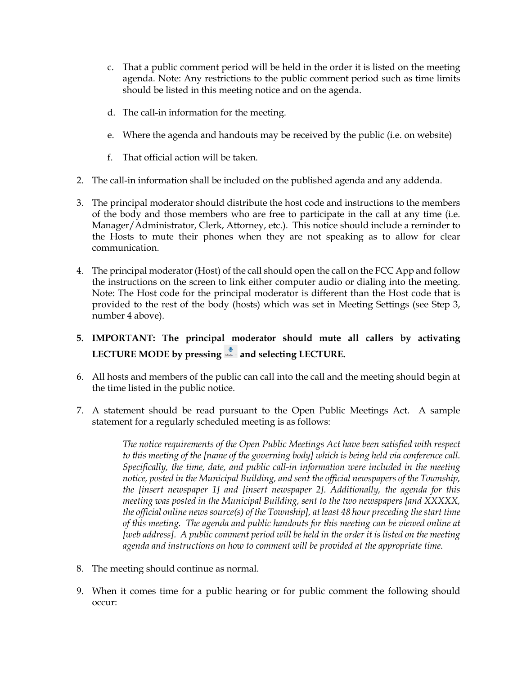- c. That a public comment period will be held in the order it is listed on the meeting agenda. Note: Any restrictions to the public comment period such as time limits should be listed in this meeting notice and on the agenda.
- d. The call-in information for the meeting.
- e. Where the agenda and handouts may be received by the public (i.e. on website)
- f. That official action will be taken.
- 2. The call-in information shall be included on the published agenda and any addenda.
- 3. The principal moderator should distribute the host code and instructions to the members of the body and those members who are free to participate in the call at any time (i.e. Manager/Administrator, Clerk, Attorney, etc.). This notice should include a reminder to the Hosts to mute their phones when they are not speaking as to allow for clear communication.
- 4. The principal moderator (Host) of the call should open the call on the FCC App and follow the instructions on the screen to link either computer audio or dialing into the meeting. Note: The Host code for the principal moderator is different than the Host code that is provided to the rest of the body (hosts) which was set in Meeting Settings (see Step 3, number 4 above).
- **5. IMPORTANT: The principal moderator should mute all callers by activating** LECTURE MODE by pressing **and selecting LECTURE.**
- 6. All hosts and members of the public can call into the call and the meeting should begin at the time listed in the public notice.
- 7. A statement should be read pursuant to the Open Public Meetings Act. A sample statement for a regularly scheduled meeting is as follows:

*The notice requirements of the Open Public Meetings Act have been satisfied with respect to this meeting of the [name of the governing body] which is being held via conference call. Specifically, the time, date, and public call-in information were included in the meeting notice, posted in the Municipal Building, and sent the official newspapers of the Township, the [insert newspaper 1] and [insert newspaper 2]. Additionally, the agenda for this meeting was posted in the Municipal Building, sent to the two newspapers [and XXXXX, the official online news source(s) of the Township], at least 48 hour preceding the start time of this meeting. The agenda and public handouts for this meeting can be viewed online at [web address]. A public comment period will be held in the order it is listed on the meeting agenda and instructions on how to comment will be provided at the appropriate time.*

- 8. The meeting should continue as normal.
- 9. When it comes time for a public hearing or for public comment the following should occur: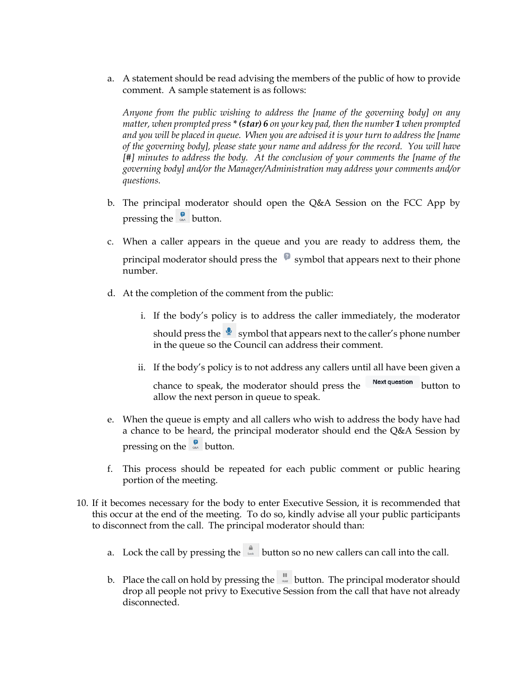a. A statement should be read advising the members of the public of how to provide comment. A sample statement is as follows:

*Anyone from the public wishing to address the [name of the governing body] on any matter, when prompted press \* (star) 6 on your key pad, then the number 1 when prompted and you will be placed in queue. When you are advised it is your turn to address the [name of the governing body], please state your name and address for the record. You will have [#] minutes to address the body. At the conclusion of your comments the [name of the governing body] and/or the Manager/Administration may address your comments and/or questions.*

- b. The principal moderator should open the Q&A Session on the FCC App by pressing the  $\frac{1}{\infty}$  button.
- c. When a caller appears in the queue and you are ready to address them, the principal moderator should press the  $\bullet$  symbol that appears next to their phone number.
- d. At the completion of the comment from the public:
	- i. If the body's policy is to address the caller immediately, the moderator should press the  $\bigotimes$  symbol that appears next to the caller's phone number in the queue so the Council can address their comment.
	- ii. If the body's policy is to not address any callers until all have been given a

chance to speak, the moderator should press the Next question button to allow the next person in queue to speak.

- e. When the queue is empty and all callers who wish to address the body have had a chance to be heard, the principal moderator should end the Q&A Session by pressing on the  $\frac{2}{\pi}$  button.
- f. This process should be repeated for each public comment or public hearing portion of the meeting.
- 10. If it becomes necessary for the body to enter Executive Session, it is recommended that this occur at the end of the meeting. To do so, kindly advise all your public participants to disconnect from the call. The principal moderator should than:
	- a. Lock the call by pressing the  $\frac{a}{b}$  button so no new callers can call into the call.
	- b. Place the call on hold by pressing the  $\|$  button. The principal moderator should drop all people not privy to Executive Session from the call that have not already disconnected.